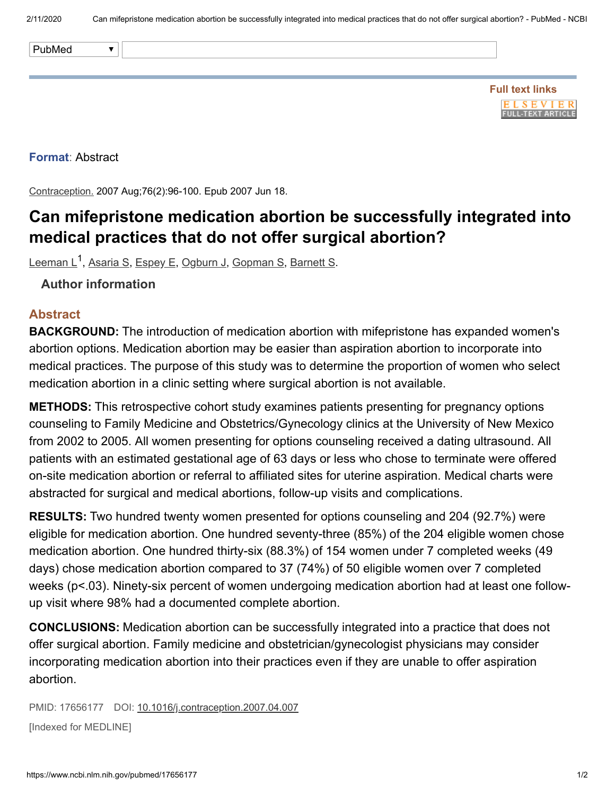| PubMed |  |
|--------|--|

## **Format**: Abstract

Contraception. 2007 Aug;76(2):96-100. Epub 2007 Jun 18.

## **Can mifepristone medication abortion be successfully integrated into medical practices that do not offer surgical abortion?**

<u>[Leeman](https://www.ncbi.nlm.nih.gov/pubmed/?term=Leeman%20L%5BAuthor%5D&cauthor=true&cauthor_uid=17656177) L<sup>1</sup>, [Asaria](https://www.ncbi.nlm.nih.gov/pubmed/?term=Asaria%20S%5BAuthor%5D&cauthor=true&cauthor_uid=17656177) S, [Espey](https://www.ncbi.nlm.nih.gov/pubmed/?term=Espey%20E%5BAuthor%5D&cauthor=true&cauthor_uid=17656177) E, [Ogburn](https://www.ncbi.nlm.nih.gov/pubmed/?term=Ogburn%20J%5BAuthor%5D&cauthor=true&cauthor_uid=17656177) J, [Gopman](https://www.ncbi.nlm.nih.gov/pubmed/?term=Gopman%20S%5BAuthor%5D&cauthor=true&cauthor_uid=17656177) S, [Barnett](https://www.ncbi.nlm.nih.gov/pubmed/?term=Barnett%20S%5BAuthor%5D&cauthor=true&cauthor_uid=17656177) S</u>.

## **Author information**

## **Abstract**

**BACKGROUND:** The introduction of medication abortion with mifepristone has expanded women's abortion options. Medication abortion may be easier than aspiration abortion to incorporate into medical practices. The purpose of this study was to determine the proportion of women who select medication abortion in a clinic setting where surgical abortion is not available.

**METHODS:** This retrospective cohort study examines patients presenting for pregnancy options counseling to Family Medicine and Obstetrics/Gynecology clinics at the University of New Mexico from 2002 to 2005. All women presenting for options counseling received a dating ultrasound. All patients with an estimated gestational age of 63 days or less who chose to terminate were offered on-site medication abortion or referral to affiliated sites for uterine aspiration. Medical charts were abstracted for surgical and medical abortions, follow-up visits and complications.

**RESULTS:** Two hundred twenty women presented for options counseling and 204 (92.7%) were eligible for medication abortion. One hundred seventy-three (85%) of the 204 eligible women chose medication abortion. One hundred thirty-six (88.3%) of 154 women under 7 completed weeks (49 days) chose medication abortion compared to 37 (74%) of 50 eligible women over 7 completed weeks (p<.03). Ninety-six percent of women undergoing medication abortion had at least one followup visit where 98% had a documented complete abortion.

**CONCLUSIONS:** Medication abortion can be successfully integrated into a practice that does not offer surgical abortion. Family medicine and obstetrician/gynecologist physicians may consider incorporating medication abortion into their practices even if they are unable to offer aspiration abortion.

PMID: 17656177 DOI: [10.1016/j.contraception.2007.04.007](https://doi.org/10.1016/j.contraception.2007.04.007)

[Indexed for MEDLINE]

**FLSEVIER FULL-TEXT ARTICLE**